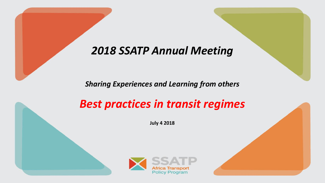## *2018 SSATP Annual Meeting*

*Sharing Experiences and Learning from others*

## *Best practices in transit regimes*

**July 4 2018**

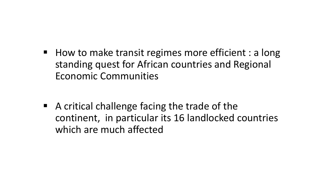■ How to make transit regimes more efficient : a long standing quest for African countries and Regional Economic Communities

 $\blacksquare$  A critical challenge facing the trade of the continent, in particular its 16 landlocked countries which are much affected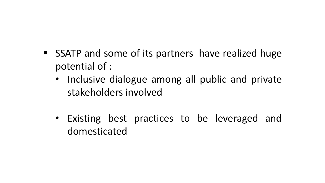- SSATP and some of its partners have realized huge potential of :
	- Inclusive dialogue among all public and private stakeholders involved
	- Existing best practices to be leveraged and domesticated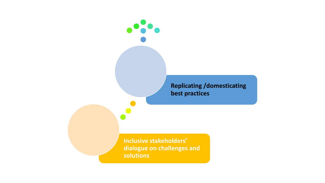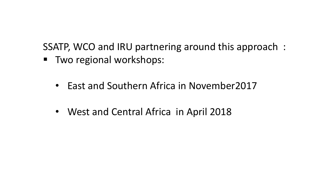SSATP, WCO and IRU partnering around this approach :

- Two regional workshops:
	- East and Southern Africa in November2017
	- West and Central Africa in April 2018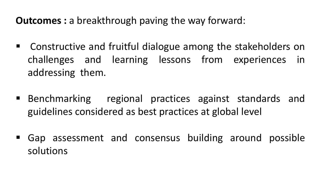- Constructive and fruitful dialogue among the stakeholders on challenges and learning lessons from experiences in addressing them.
- Benchmarking regional practices against standards and guidelines considered as best practices at global level
- Gap assessment and consensus building around possible solutions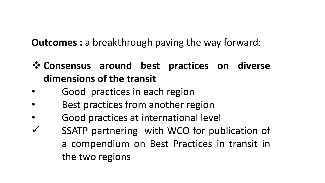- ❖ **Consensus around best practices on diverse dimensions of the transit**
- Good practices in each region
- Best practices from another region
- Good practices at international level
- ✓ SSATP partnering with WCO for publication of a compendium on Best Practices in transit in the two regions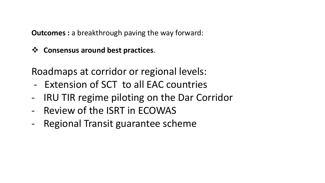❖ **Consensus around best practices**.

Roadmaps at corridor or regional levels:

- Extension of SCT to all EAC countries
- IRU TIR regime piloting on the Dar Corridor
- Review of the ISRT in ECOWAS
- Regional Transit guarantee scheme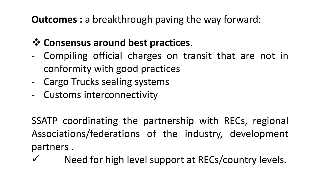## ❖ **Consensus around best practices**.

- Compiling official charges on transit that are not in conformity with good practices
- Cargo Trucks sealing systems
- Customs interconnectivity

SSATP coordinating the partnership with RECs, regional Associations/federations of the industry, development partners .

Need for high level support at RECs/country levels.